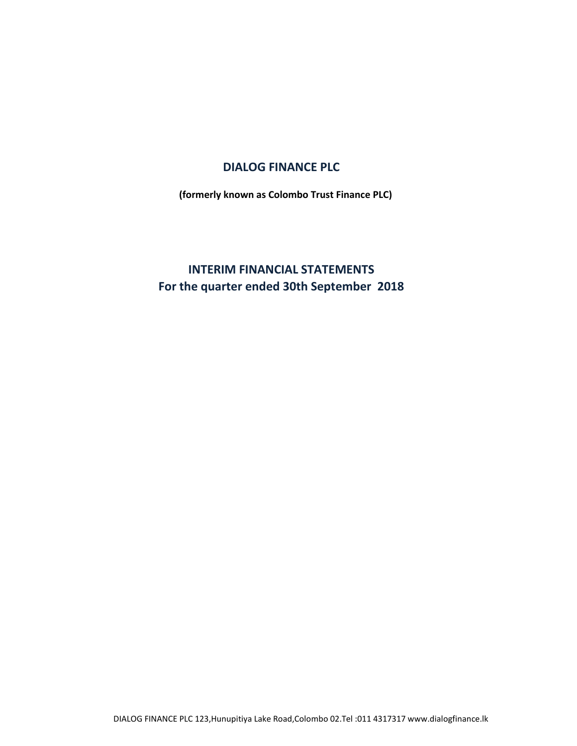# **DIALOG FINANCE PLC**

**(formerly known as Colombo Trust Finance PLC)**

# **INTERIM FINANCIAL STATEMENTS For the quarter ended 30th September 2018**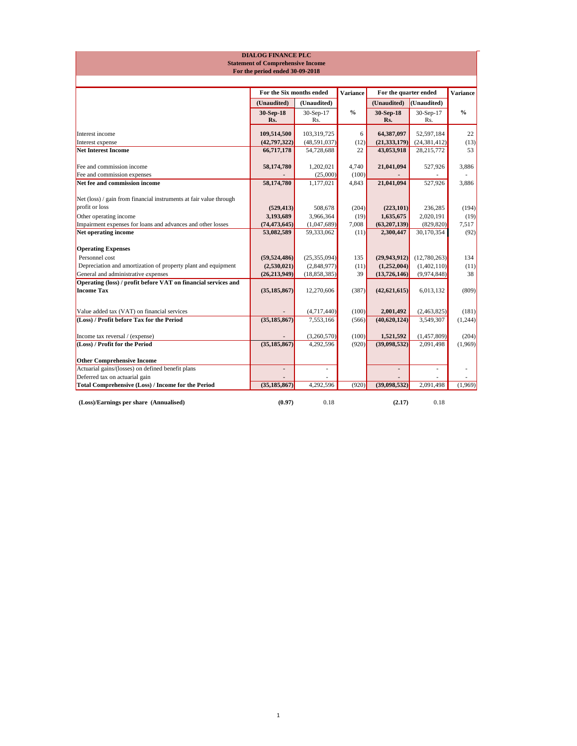|                                                                    | <b>DIALOG FINANCE PLC</b>                |                  |                 |                       |                  |                 |
|--------------------------------------------------------------------|------------------------------------------|------------------|-----------------|-----------------------|------------------|-----------------|
|                                                                    | <b>Statement of Comprehensive Income</b> |                  |                 |                       |                  |                 |
|                                                                    | For the period ended 30-09-2018          |                  |                 |                       |                  |                 |
|                                                                    |                                          |                  |                 |                       |                  |                 |
|                                                                    | For the Six months ended                 |                  | <b>Variance</b> | For the quarter ended |                  | <b>Variance</b> |
|                                                                    | (Unaudited)                              | (Unaudited)      |                 | (Unaudited)           | (Unaudited)      |                 |
|                                                                    | 30-Sep-18<br>Rs.                         | 30-Sep-17<br>Rs. | $\frac{6}{6}$   | 30-Sep-18<br>Rs.      | 30-Sep-17<br>Rs. | $\frac{6}{6}$   |
| Interest income                                                    | 109,514,500                              | 103,319,725      | 6               | 64,387,097            | 52,597,184       | 22              |
| Interest expense                                                   | (42, 797, 322)                           | (48,591,037)     | (12)            | (21, 333, 179)        | (24, 381, 412)   | (13)            |
| <b>Net Interest Income</b>                                         | 66,717,178                               | 54,728,688       | 22              | 43,053,918            | 28,215,772       | 53              |
| Fee and commission income                                          | 58,174,780                               | 1,202,021        | 4,740           | 21,041,094            | 527,926          | 3,886           |
| Fee and commission expenses                                        |                                          | (25,000)         | (100)           |                       |                  |                 |
| Net fee and commission income                                      | 58,174,780                               | 1,177,021        | 4,843           | 21,041,094            | 527,926          | 3,886           |
| Net (loss) / gain from financial instruments at fair value through |                                          |                  |                 |                       |                  |                 |
| profit or loss                                                     | (529, 413)                               | 508,678          | (204)           | (223,101)             | 236,285          | (194)           |
| Other operating income                                             | 3,193,689                                | 3,966,364        | (19)            | 1,635,675             | 2,020,191        | (19)            |
| Impairment expenses for loans and advances and other losses        | (74, 473, 645)                           | (1,047,689)      | 7,008           | (63,207,139)          | (829, 820)       | 7,517           |
| Net operating income                                               | 53,082,589                               | 59,333,062       | (11)            | 2,300,447             | 30,170,354       | (92)            |
| <b>Operating Expenses</b>                                          |                                          |                  |                 |                       |                  |                 |
| Personnel cost                                                     | (59, 524, 486)                           | (25,355,094)     | 135             | (29, 943, 912)        | (12,780,263)     | 134             |
| Depreciation and amortization of property plant and equipment      | (2,530,021)                              | (2,848,977)      | (11)            | (1,252,004)           | (1,402,110)      | (11)            |
| General and administrative expenses                                | (26, 213, 949)                           | (18, 858, 385)   | 39              | (13,726,146)          | (9,974,848)      | 38              |
| Operating (loss) / profit before VAT on financial services and     |                                          |                  |                 |                       |                  |                 |
| <b>Income Tax</b>                                                  | (35, 185, 867)                           | 12,270,606       | (387)           | (42, 621, 615)        | 6,013,132        | (809)           |
|                                                                    |                                          |                  |                 |                       |                  |                 |
| Value added tax (VAT) on financial services                        |                                          | (4,717,440)      | (100)           | 2,001,492             | (2,463,825)      | (181)           |
| (Loss) / Profit before Tax for the Period                          | (35, 185, 867)                           | 7,553,166        | (566)           | (40,620,124)          | 3,549,307        | (1,244)         |
| Income tax reversal / (expense)                                    |                                          | (3,260,570)      | (100)           | 1,521,592             | (1,457,809)      | (204)           |
| (Loss) / Profit for the Period                                     | (35, 185, 867)                           | 4,292,596        | (920)           | (39,098,532)          | 2,091,498        | (1,969)         |
| <b>Other Comprehensive Income</b>                                  |                                          |                  |                 |                       |                  |                 |
| Actuarial gains/(losses) on defined benefit plans                  |                                          |                  |                 | ٠                     |                  |                 |
| Deferred tax on actuarial gain                                     |                                          |                  |                 |                       |                  |                 |
| Total Comprehensive (Loss) / Income for the Period                 | (35, 185, 867)                           | 4,292,596        | (920)           | (39,098,532)          | 2,091,498        | (1,969)         |
| (Loss)/Earnings per share (Annualised)                             | (0.97)                                   | 0.18             |                 | (2.17)                | 0.18             |                 |

# 1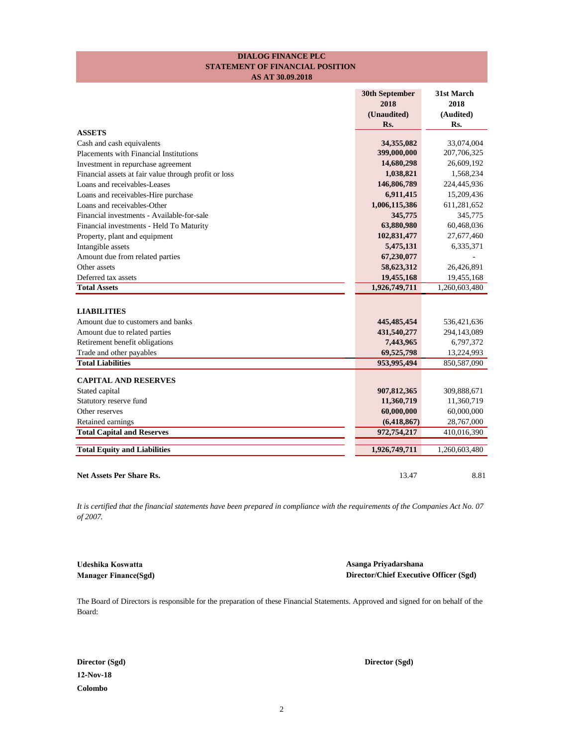## **STATEMENT OF FINANCIAL POSITION DIALOG FINANCE PLC AS AT 30.09.2018**

|                                                       | <b>30th September</b><br>2018<br>(Unaudited)<br>Rs. | 31st March<br>2018<br>(Audited)<br>Rs. |
|-------------------------------------------------------|-----------------------------------------------------|----------------------------------------|
| <b>ASSETS</b>                                         |                                                     |                                        |
| Cash and cash equivalents                             | 34,355,082                                          | 33,074,004                             |
| Placements with Financial Institutions                | 399,000,000                                         | 207,706,325                            |
| Investment in repurchase agreement                    | 14,680,298                                          | 26,609,192                             |
| Financial assets at fair value through profit or loss | 1,038,821                                           | 1,568,234                              |
| Loans and receivables-Leases                          | 146,806,789                                         | 224,445,936                            |
| Loans and receivables-Hire purchase                   | 6,911,415                                           | 15,209,436                             |
| Loans and receivables-Other                           | 1,006,115,386                                       | 611,281,652                            |
| Financial investments - Available-for-sale            | 345,775                                             | 345,775                                |
| Financial investments - Held To Maturity              | 63,880,980                                          | 60,468,036                             |
| Property, plant and equipment                         | 102,831,477                                         | 27,677,460                             |
| Intangible assets                                     | 5,475,131                                           | 6,335,371                              |
| Amount due from related parties                       | 67,230,077                                          |                                        |
| Other assets                                          | 58,623,312                                          | 26,426,891                             |
| Deferred tax assets                                   | 19,455,168                                          | 19,455,168                             |
| <b>Total Assets</b>                                   | 1,926,749,711                                       | 1,260,603,480                          |
| <b>LIABILITIES</b>                                    |                                                     |                                        |
| Amount due to customers and banks                     | 445, 485, 454                                       | 536,421,636                            |
| Amount due to related parties                         | 431,540,277                                         | 294,143,089                            |
| Retirement benefit obligations                        | 7,443,965                                           | 6,797,372                              |
| Trade and other payables                              | 69,525,798                                          | 13,224,993                             |
| <b>Total Liabilities</b>                              | 953,995,494                                         | 850,587,090                            |
| <b>CAPITAL AND RESERVES</b>                           |                                                     |                                        |
| Stated capital                                        | 907,812,365                                         | 309,888,671                            |
| Statutory reserve fund                                | 11,360,719                                          | 11,360,719                             |
| Other reserves                                        | 60,000,000                                          | 60,000,000                             |
| Retained earnings                                     | (6,418,867)                                         | 28,767,000                             |
| <b>Total Capital and Reserves</b>                     | 972,754,217                                         | 410,016,390                            |
| <b>Total Equity and Liabilities</b>                   | 1,926,749,711                                       | 1,260,603,480                          |
| Net Assets Per Share Rs.                              | 13.47                                               | 8.81                                   |

*It is certified that the financial statements have been prepared in compliance with the requirements of the Companies Act No. 07 of 2007.*

**Udeshika Koswatta Asanga Priyadarshana Manager Finance(Sgd) Director/Chief Executive Officer (Sgd)**

The Board of Directors is responsible for the preparation of these Financial Statements. Approved and signed for on behalf of the Board:

**12-Nov-18 Colombo**

**Director (Sgd) Director (Sgd)**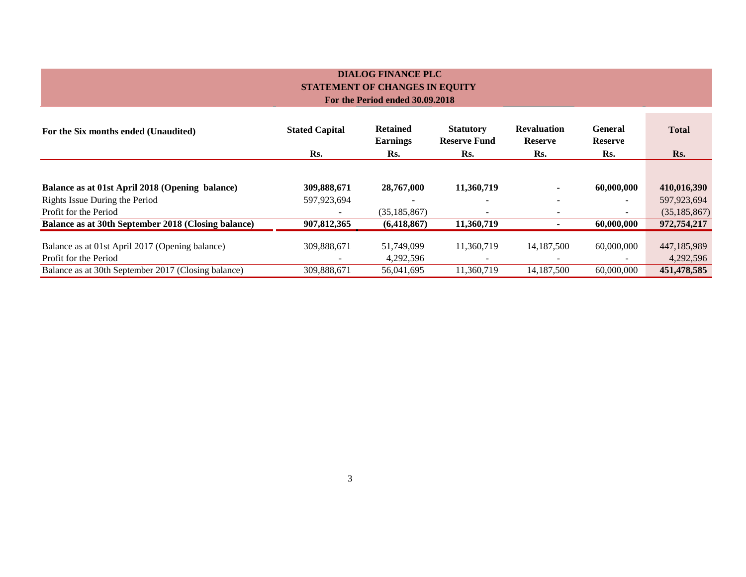# **DIALOG FINANCE PLC STATEMENT OF CHANGES IN EQUITY For the Period ended 30.09.2018**

| For the Six months ended (Unaudited)                                     | <b>Stated Capital</b><br>Rs. | <b>Retained</b><br><b>Earnings</b><br>Rs. | <b>Statutory</b><br><b>Reserve Fund</b><br>Rs. | <b>Revaluation</b><br><b>Reserve</b><br>Rs. | <b>General</b><br><b>Reserve</b><br>Rs. | <b>Total</b><br>Rs.      |
|--------------------------------------------------------------------------|------------------------------|-------------------------------------------|------------------------------------------------|---------------------------------------------|-----------------------------------------|--------------------------|
|                                                                          |                              |                                           |                                                |                                             |                                         |                          |
| Balance as at 01st April 2018 (Opening balance)                          | 309,888,671                  | 28,767,000                                | 11,360,719                                     | $\overline{\phantom{a}}$                    | 60,000,000                              | 410,016,390              |
| Rights Issue During the Period                                           | 597,923,694                  |                                           |                                                |                                             | $\overline{\phantom{0}}$                | 597,923,694              |
| Profit for the Period                                                    |                              | (35, 185, 867)                            |                                                |                                             | $\overline{\phantom{0}}$                | (35, 185, 867)           |
| Balance as at 30th September 2018 (Closing balance)                      | 907,812,365                  | (6,418,867)                               | 11,360,719                                     |                                             | 60,000,000                              | 972,754,217              |
| Balance as at 01st April 2017 (Opening balance)<br>Profit for the Period | 309,888,671                  | 51,749,099<br>4,292,596                   | 11,360,719                                     | 14,187,500                                  | 60,000,000                              | 447,185,989<br>4,292,596 |
| Balance as at 30th September 2017 (Closing balance)                      | 309,888,671                  | 56,041,695                                | 11,360,719                                     | 14,187,500                                  | 60,000,000                              | 451,478,585              |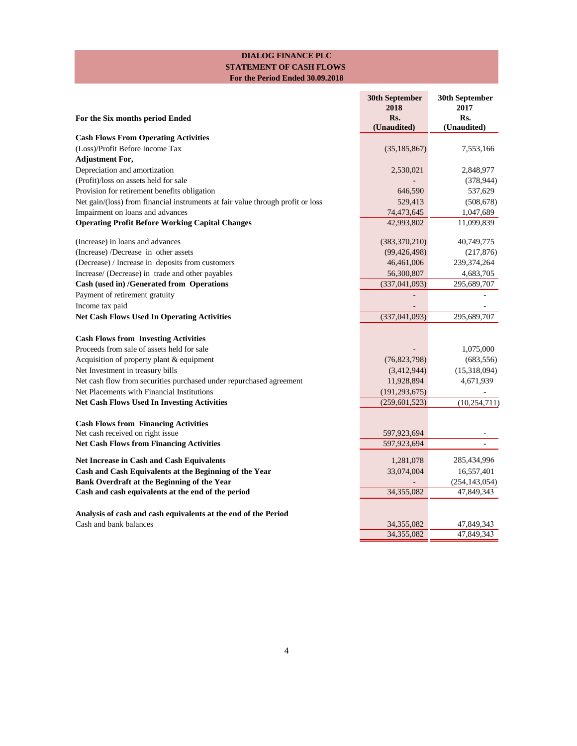# **DIALOG FINANCE PLC STATEMENT OF CASH FLOWS For the Period Ended 30.09.2018**

| For the Six months period Ended                                                 | <b>30th September</b><br>2018<br>Rs. | <b>30th September</b><br>2017<br>Rs. |
|---------------------------------------------------------------------------------|--------------------------------------|--------------------------------------|
| <b>Cash Flows From Operating Activities</b>                                     | (Unaudited)                          | (Unaudited)                          |
| (Loss)/Profit Before Income Tax                                                 | (35, 185, 867)                       | 7,553,166                            |
| <b>Adjustment For,</b>                                                          |                                      |                                      |
| Depreciation and amortization                                                   | 2,530,021                            | 2,848,977                            |
| (Profit)/loss on assets held for sale                                           |                                      | (378, 944)                           |
| Provision for retirement benefits obligation                                    | 646,590                              | 537,629                              |
| Net gain/(loss) from financial instruments at fair value through profit or loss | 529,413                              | (508, 678)                           |
| Impairment on loans and advances                                                | 74,473,645                           | 1,047,689                            |
| <b>Operating Profit Before Working Capital Changes</b>                          | 42,993,802                           | 11,099,839                           |
| (Increase) in loans and advances                                                | (383, 370, 210)                      | 40,749,775                           |
| (Increase) /Decrease in other assets                                            | (99, 426, 498)                       | (217, 876)                           |
| (Decrease) / Increase in deposits from customers                                | 46,461,006                           | 239, 374, 264                        |
| Increase/ (Decrease) in trade and other payables                                | 56,300,807                           | 4,683,705                            |
| <b>Cash (used in) /Generated from Operations</b>                                | (337, 041, 093)                      | 295,689,707                          |
| Payment of retirement gratuity                                                  |                                      |                                      |
| Income tax paid                                                                 |                                      |                                      |
| <b>Net Cash Flows Used In Operating Activities</b>                              | (337, 041, 093)                      | 295,689,707                          |
| <b>Cash Flows from Investing Activities</b>                                     |                                      |                                      |
| Proceeds from sale of assets held for sale                                      |                                      | 1,075,000                            |
| Acquisition of property plant & equipment                                       | (76,823,798)                         | (683, 556)                           |
| Net Investment in treasury bills                                                | (3,412,944)                          | (15,318,094)                         |
| Net cash flow from securities purchased under repurchased agreement             | 11,928,894                           | 4,671,939                            |
| Net Placements with Financial Institutions                                      | (191, 293, 675)                      |                                      |
| <b>Net Cash Flows Used In Investing Activities</b>                              | (259, 601, 523)                      | (10, 254, 711)                       |
| <b>Cash Flows from Financing Activities</b>                                     |                                      |                                      |
| Net cash received on right issue                                                | 597,923,694                          |                                      |
| <b>Net Cash Flows from Financing Activities</b>                                 | 597,923,694                          |                                      |
| <b>Net Increase in Cash and Cash Equivalents</b>                                | 1,281,078                            | 285,434,996                          |
| Cash and Cash Equivalents at the Beginning of the Year                          | 33,074,004                           | 16,557,401                           |
| Bank Overdraft at the Beginning of the Year                                     |                                      | (254, 143, 054)                      |
| Cash and cash equivalents at the end of the period                              | 34,355,082                           | 47,849,343                           |
| Analysis of cash and cash equivalents at the end of the Period                  |                                      |                                      |
| Cash and bank balances                                                          | 34,355,082                           | 47,849,343                           |
|                                                                                 | 34,355,082                           | 47,849,343                           |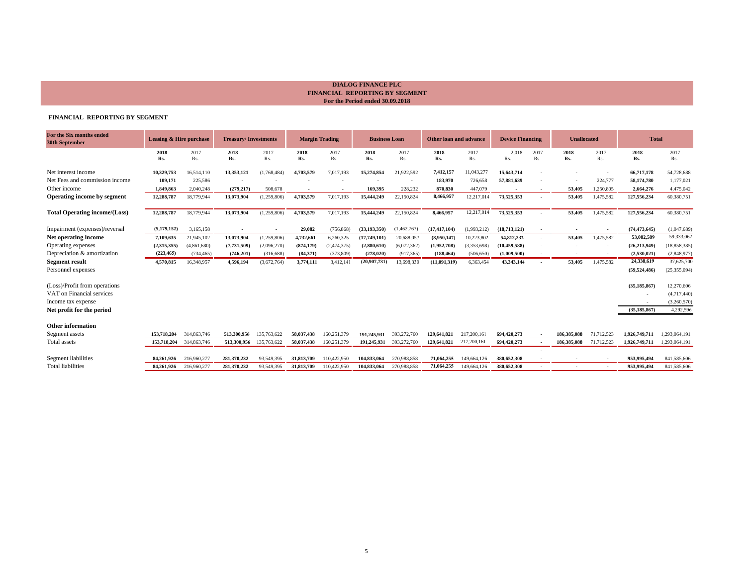## **FINANCIAL REPORTING BY SEGMENT**

| For the Six months ended<br>30th September | <b>Leasing &amp; Hire purchase</b> |             | <b>Treasury/Investments</b> |             |             | <b>Margin Trading</b> | <b>Business Loan</b> |             | <b>Other loan and advance</b> |             | <b>Device Financing</b> |                          | <b>Unallocated</b> |             | <b>Total</b>   |                |
|--------------------------------------------|------------------------------------|-------------|-----------------------------|-------------|-------------|-----------------------|----------------------|-------------|-------------------------------|-------------|-------------------------|--------------------------|--------------------|-------------|----------------|----------------|
|                                            | 2018<br>Rs.                        | 2017<br>Rs. | 2018<br>Rs.                 | 2017<br>Rs. | 2018<br>Rs. | 2017<br>Rs.           | 2018<br>Rs.          | 2017<br>Rs. | 2018<br>Rs.                   | 2017<br>Rs. | 2,018<br>Rs.            | 2017<br>Rs.              | 2018<br>Rs.        | 2017<br>Rs. | 2018<br>Rs.    | 2017<br>Rs.    |
| Net interest income                        | 10,329,753                         | 16,514,110  | 13,353,121                  | (1,768,484) | 4,703,579   | 7,017,193             | 15,274,854           | 21,922,592  | 7,412,157                     | 11,043,277  | 15,643,714              | $\sim$                   |                    |             | 66,717,178     | 54,728,688     |
| Net Fees and commission income             | 109,171                            | 225,586     |                             |             |             |                       |                      |             | 183,970                       | 726,658     | 57,881,639              |                          |                    | 224,777     | 58,174,780     | 1,177,021      |
| Other income                               | 1,849,863                          | 2,040,248   | (279, 217)                  | 508,678     |             |                       | 169,395              | 228,232     | 870,830                       | 447,079     |                         |                          | 53,405             | 1,250,805   | 2,664,276      | 4,475,042      |
| Operating income by segment                | 12,288,787                         | 18,779,944  | 13,073,904                  | (1,259,806) | 4,703,579   | 7,017,193             | 15,444,249           | 22,150,824  | 8,466,957                     | 12,217,014  | 73,525,353              | $\sim$                   | 53,405             | 1,475,582   | 127,556,234    | 60,380,751     |
| <b>Total Operating income/(Loss)</b>       | 12,288,787                         | 18,779,944  | 13,073,904                  | (1,259,806) | 4,703,579   | 7,017,193             | 15,444,249           | 22,150,824  | 8,466,957                     | 12,217,014  | 73,525,353              |                          | 53,405             | 1,475,582   | 127,556,234    | 60,380,751     |
| Impairment (expenses)/reversal             | (5,179,152)                        | 3,165,158   | $\sim$                      |             | 29,082      | (756, 868)            | (33.193.350)         | (1,462,767) | (17, 417, 104)                | (1,993,212) | (18,713,121)            | $\overline{\phantom{a}}$ |                    |             | (74, 473, 645) | (1,047,689)    |
| Net operating income                       | 7,109,635                          | 21,945,102  | 13,073,904                  | (1,259,806) | 4,732,661   | 6,260,325             | (17,749,101)         | 20,688,057  | (8,950,147)                   | 10,223,802  | 54,812,232              | $\sim$                   | 53,405             | 1,475,582   | 53,082,589     | 59,333,062     |
| Operating expenses                         | (2,315,355)                        | (4,861,680) | (7,731,509)                 | (2,096,270) | (874, 179)  | (2,474,375)           | (2,880,610)          | (6,072,362) | (1,952,708)                   | (3,353,698) | (10, 459, 588)          |                          |                    |             | (26, 213, 949) | (18, 858, 385) |
| Depreciation & amortization                | (223, 465)                         | (734, 465)  | (746,201)                   | (316, 688)  | (84,371)    | (373, 809)            | (278, 020)           | (917, 365)  | (188, 464)                    | (506, 650)  | (1,009,500)             | $\overline{\phantom{a}}$ |                    |             | (2,530,021)    | (2,848,977)    |
| <b>Segment result</b>                      | 4,570,815                          | 16,348,957  | 4,596,194                   | (3,672,764) | 3,774,111   | 3,412,141             | (20,907,731)         | 13,698,330  | (11,091,319)                  | 6,363,454   | 43,343,144              | $\sim$                   | 53,405             | 1,475,582   | 24,338,619     | 37,625,700     |
| Personnel expenses                         |                                    |             |                             |             |             |                       |                      |             |                               |             |                         |                          |                    |             | (59, 524, 486) | (25, 355, 094) |
| (Loss)/Profit from operations              |                                    |             |                             |             |             |                       |                      |             |                               |             |                         |                          |                    |             | (35, 185, 867) | 12,270,606     |
| VAT on Financial services                  |                                    |             |                             |             |             |                       |                      |             |                               |             |                         |                          |                    |             |                | (4,717,440)    |
| Income tax expense                         |                                    |             |                             |             |             |                       |                      |             |                               |             |                         |                          |                    |             |                | (3,260,570)    |
| Net profit for the period                  |                                    |             |                             |             |             |                       |                      |             |                               |             |                         |                          |                    |             | (35, 185, 867) | 4,292,596      |
| <b>Other information</b>                   |                                    |             |                             |             |             |                       |                      |             |                               |             |                         |                          |                    |             |                |                |
| Segment assets                             | 153,718,204                        | 314,863,746 | 513,300,956                 | 135,763,622 | 58,037,438  | 160,251,379           | 191,245,931          | 393,272,760 | 129,641,821                   | 217,200,161 | 694,420,273             |                          | 186,385,088        | 71,712,523  | 1,926,749,711  | 1,293,064,191  |
| Total assets                               | 153,718,204                        | 314,863,746 | 513,300,956                 | 135,763,622 | 58,037,438  | 160,251,379           | 191,245,931          | 393,272,760 | 129,641,821                   | 217,200,161 | 694,420,273             |                          | 186,385,088        | 71,712,523  | 1,926,749,711  | 1,293,064,191  |
|                                            |                                    |             |                             |             |             |                       |                      |             |                               |             |                         |                          |                    |             |                |                |
| Segment liabilities                        | 84.261.926                         | 216,960,277 | 281,370,232                 | 93,549,395  | 31,813,709  | 110,422,950           | 104.833.064          | 270.988.858 | 71,064,255                    | 149,664,126 | 380,652,308             |                          |                    |             | 953,995,494    | 841,585,606    |
| <b>Total liabilities</b>                   | 84,261,926                         | 216,960,277 | 281,370,232                 | 93,549,395  | 31,813,709  | 110,422,950           | 104,833,064          | 270,988,858 | 71,064,255                    | 149,664,126 | 380,652,308             |                          |                    |             | 953,995,494    | 841,585,606    |

# **DIALOG FINANCE PLC FINANCIAL REPORTING BY SEGMENT For the Period ended 30.09.2018**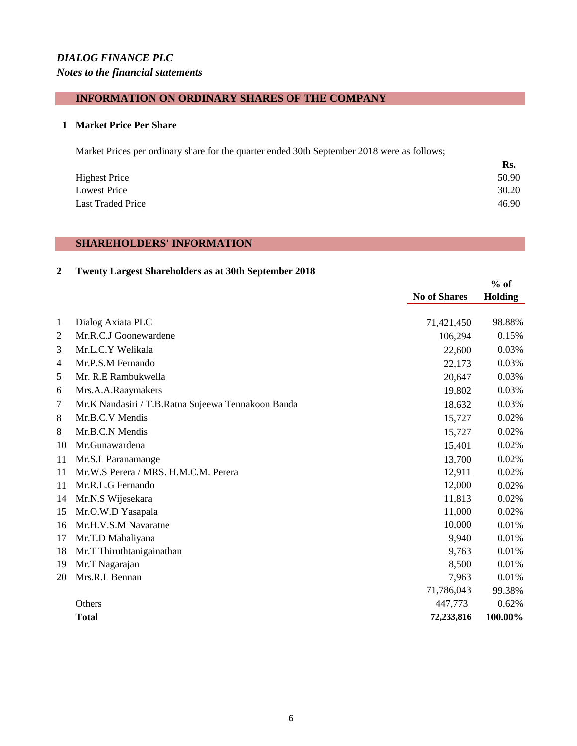# *DIALOG FINANCE PLC Notes to the financial statements*

## **INFORMATION ON ORDINARY SHARES OF THE COMPANY**

#### **Market Price Per Share**

Market Prices per ordinary share for the quarter ended 30th September 2018 were as follows;

|                          | Rs.   |
|--------------------------|-------|
| <b>Highest Price</b>     | 50.90 |
| <b>Lowest Price</b>      | 30.20 |
| <b>Last Traded Price</b> | 46.90 |

### **SHAREHOLDERS' INFORMATION**

### **Twenty Largest Shareholders as at 30th September 2018**

|                |                                                    |                     | $%$ of  |
|----------------|----------------------------------------------------|---------------------|---------|
|                |                                                    | <b>No of Shares</b> | Holding |
| $\mathbf{1}$   | Dialog Axiata PLC                                  | 71,421,450          | 98.88%  |
| $\overline{2}$ | Mr.R.C.J Goonewardene                              | 106,294             | 0.15%   |
| 3              | Mr.L.C.Y Welikala                                  | 22,600              | 0.03%   |
| $\overline{4}$ | Mr.P.S.M Fernando                                  | 22,173              | 0.03%   |
| 5              | Mr. R.E Rambukwella                                | 20,647              | 0.03%   |
| 6              | Mrs.A.A.Raaymakers                                 | 19,802              | 0.03%   |
| 7              | Mr.K Nandasiri / T.B.Ratna Sujeewa Tennakoon Banda | 18,632              | 0.03%   |
| 8              | Mr.B.C.V Mendis                                    | 15,727              | 0.02%   |
| 8              | Mr.B.C.N Mendis                                    | 15,727              | 0.02%   |
| 10             | Mr.Gunawardena                                     | 15,401              | 0.02%   |
| 11             | Mr.S.L Paranamange                                 | 13,700              | 0.02%   |
| 11             | Mr.W.S Perera / MRS. H.M.C.M. Perera               | 12,911              | 0.02%   |
| 11             | Mr.R.L.G Fernando                                  | 12,000              | 0.02%   |
| 14             | Mr.N.S Wijesekara                                  | 11,813              | 0.02%   |
| 15             | Mr.O.W.D Yasapala                                  | 11,000              | 0.02%   |
| 16             | Mr.H.V.S.M Navaratne                               | 10,000              | 0.01%   |
| 17             | Mr.T.D Mahaliyana                                  | 9,940               | 0.01%   |
| 18             | Mr.T Thiruthtanigainathan                          | 9,763               | 0.01%   |
| 19             | Mr.T Nagarajan                                     | 8,500               | 0.01%   |
| 20             | Mrs.R.L Bennan                                     | 7,963               | 0.01%   |
|                |                                                    | 71,786,043          | 99.38%  |
|                | Others                                             | 447,773             | 0.62%   |
|                | <b>Total</b>                                       | 72,233,816          | 100.00% |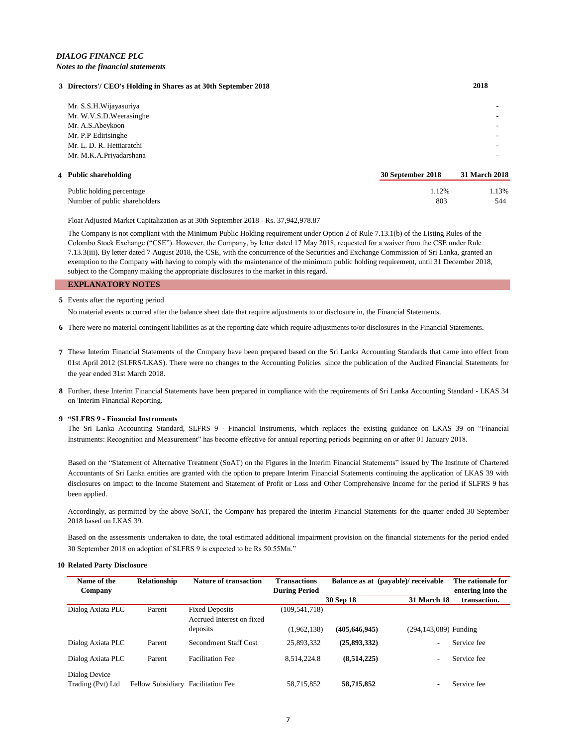# *DIALOG FINANCE PLC Notes to the financial statements*

#### **3 Directors'/ CEO's Holding in Shares as at 30th September 2018 2018**

| Public holding percentage | 1.12%             | 1.13%         |
|---------------------------|-------------------|---------------|
| 4 Public shareholding     | 30 September 2018 | 31 March 2018 |
| Mr. M.K.A.Priyadarshana   |                   |               |
| Mr. L. D. R. Hettiaratchi |                   |               |
| Mr. P.P Edirisinghe       |                   |               |
| Mr. A.S.Abeykoon          |                   |               |
| Mr. W.V.S.D. Weerasinghe  |                   |               |
| Mr. S.S.H.Wijayasuriya    |                   |               |
|                           |                   |               |

Number of public shareholders 803 544

Float Adjusted Market Capitalization as at 30th September 2018 - Rs. 37,942,978.87

The Company is not compliant with the Minimum Public Holding requirement under Option 2 of Rule 7.13.1(b) of the Listing Rules of the Colombo Stock Exchange ("CSE"). However, the Company, by letter dated 17 May 2018, requested for a waiver from the CSE under Rule 7.13.3(iii). By letter dated 7 August 2018, the CSE, with the concurrence of the Securities and Exchange Commission of Sri Lanka, granted an exemption to the Company with having to comply with the maintenance of the minimum public holding requirement, until 31 December 2018, subject to the Company making the appropriate disclosures to the market in this regard.

#### **EXPLANATORY NOTES**

#### **5** Events after the reporting period

No material events occurred after the balance sheet date that require adjustments to or disclosure in, the Financial Statements.

**6** There were no material contingent liabilities as at the reporting date which require adjustments to/or disclosures in the Financial Statements.

- **7** These Interim Financial Statements of the Company have been prepared based on the Sri Lanka Accounting Standards that came into effect from 01st April 2012 (SLFRS/LKAS). There were no changes to the Accounting Policies since the publication of the Audited Financial Statements for the year ended 31st March 2018.
- **8** Further, these Interim Financial Statements have been prepared in compliance with the requirements of Sri Lanka Accounting Standard LKAS 34 on 'Interim Financial Reporting.

#### **9 "SLFRS 9 - Financial Instruments**

The Sri Lanka Accounting Standard, SLFRS 9 - Financial Instruments, which replaces the existing guidance on LKAS 39 on "Financial Instruments: Recognition and Measurement" has become effective for annual reporting periods beginning on or after 01 January 2018.

Based on the "Statement of Alternative Treatment (SoAT) on the Figures in the Interim Financial Statements" issued by The Institute of Chartered Accountants of Sri Lanka entities are granted with the option to prepare Interim Financial Statements continuing the application of LKAS 39 with disclosures on impact to the Income Statement and Statement of Profit or Loss and Other Comprehensive Income for the period if SLFRS 9 has been applied.

Accordingly, as permitted by the above SoAT, the Company has prepared the Interim Financial Statements for the quarter ended 30 September 2018 based on LKAS 39.

Based on the assessments undertaken to date, the total estimated additional impairment provision on the financial statements for the period ended 30 September 2018 on adoption of SLFRS 9 is expected to be Rs 50.55Mn."

#### **10 Related Party Disclosure**

| Name of the<br>Company             | Relationship                       | <b>Nature of transaction</b>                       | <b>Transactions</b><br><b>During Period</b> | Balance as at (payable)/receivable |                          | The rationale for<br>entering into the |
|------------------------------------|------------------------------------|----------------------------------------------------|---------------------------------------------|------------------------------------|--------------------------|----------------------------------------|
|                                    |                                    |                                                    |                                             | 30 Sep 18                          | <b>31 March 18</b>       | transaction.                           |
| Dialog Axiata PLC                  | Parent                             | <b>Fixed Deposits</b><br>Accrued Interest on fixed | (109, 541, 718)                             |                                    |                          |                                        |
|                                    |                                    | deposits                                           | (1,962,138)                                 | (405, 646, 945)                    | (294,143,089) Funding    |                                        |
| Dialog Axiata PLC                  | Parent                             | <b>Secondment Staff Cost</b>                       | 25,893,332                                  | (25,893,332)                       | $\overline{\phantom{0}}$ | Service fee                            |
| Dialog Axiata PLC                  | Parent                             | <b>Facilitation Fee</b>                            | 8,514,224.8                                 | (8,514,225)                        | $\overline{\phantom{0}}$ | Service fee                            |
| Dialog Device<br>Trading (Pvt) Ltd | Fellow Subsidiary Facilitation Fee |                                                    | 58,715,852                                  | 58,715,852                         |                          | Service fee                            |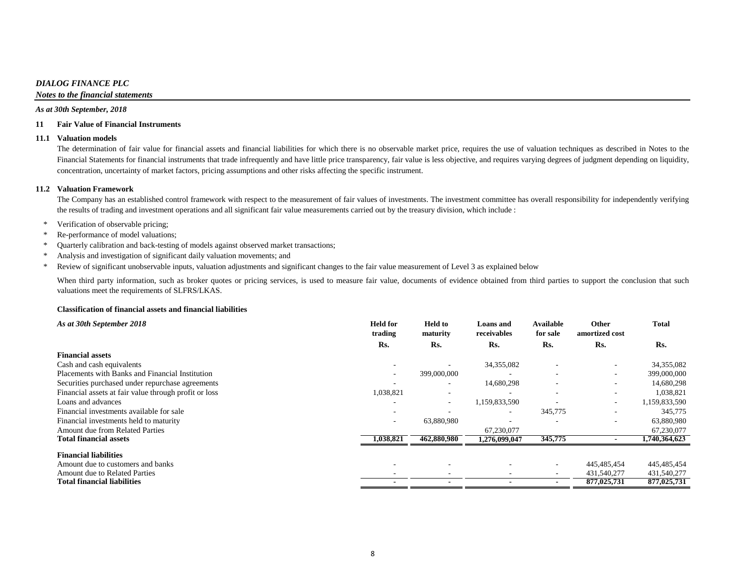### *DIALOG FINANCE PLC*

*Notes to the financial statements*

#### *As at 30th September, 2018*

#### **11 Fair Value of Financial Instruments**

#### **11.1 Valuation models**

The determination of fair value for financial assets and financial liabilities for which there is no observable market price, requires the use of valuation techniques as described in Notes to the Financial Statements for financial instruments that trade infrequently and have little price transparency, fair value is less objective, and requires varying degrees of judgment depending on liquidity, concentration, uncertainty of market factors, pricing assumptions and other risks affecting the specific instrument.

#### **11.2 Valuation Framework**

The Company has an established control framework with respect to the measurement of fair values of investments. The investment committee has overall responsibility for independently verifying the results of trading and investment operations and all significant fair value measurements carried out by the treasury division, which include :

- \* Verification of observable pricing;
- \* Re-performance of model valuations;
- \* Quarterly calibration and back-testing of models against observed market transactions;
- \* Analysis and investigation of significant daily valuation movements; and
- \* Review of significant unobservable inputs, valuation adjustments and significant changes to the fair value measurement of Level 3 as explained below

When third party information, such as broker quotes or pricing services, is used to measure fair value, documents of evidence obtained from third parties to support the conclusion that such valuations meet the requirements of SLFRS/LKAS.

#### **Classification of financial assets and financial liabilities**

| As at 30th September 2018                             | <b>Held for</b><br>trading | <b>Held to</b><br>maturity | <b>Loans</b> and<br>receivables | <b>Available</b><br>for sale | <b>Other</b><br>amortized cost | <b>Total</b>  |
|-------------------------------------------------------|----------------------------|----------------------------|---------------------------------|------------------------------|--------------------------------|---------------|
|                                                       | Rs.                        | Rs.                        | Rs.                             | Rs.                          | Rs.                            | Rs.           |
| <b>Financial assets</b>                               |                            |                            |                                 |                              |                                |               |
| Cash and cash equivalents                             | $\overline{\phantom{a}}$   |                            | 34,355,082                      | $\overline{\phantom{a}}$     | $\overline{\phantom{a}}$       | 34,355,082    |
| Placements with Banks and Financial Institution       |                            | 399,000,000                |                                 |                              |                                | 399,000,000   |
| Securities purchased under repurchase agreements      |                            | $\overline{\phantom{a}}$   | 14,680,298                      | $\overline{\phantom{0}}$     |                                | 14,680,298    |
| Financial assets at fair value through profit or loss | 1,038,821                  |                            |                                 | $\overline{\phantom{0}}$     |                                | 1,038,821     |
| Loans and advances                                    |                            | $\overline{\phantom{a}}$   | 1,159,833,590                   |                              | $\sim$                         | 1,159,833,590 |
| Financial investments available for sale              |                            |                            | $\overline{\phantom{a}}$        | 345,775                      |                                | 345,775       |
| Financial investments held to maturity                | $\overline{\phantom{a}}$   | 63,880,980                 |                                 |                              |                                | 63,880,980    |
| <b>Amount due from Related Parties</b>                |                            |                            | 67,230,077                      |                              |                                | 67,230,077    |
| <b>Total financial assets</b>                         | 1,038,821                  | 462,880,980                | 1,276,099,047                   | 345,775                      |                                | 1,740,364,623 |
| <b>Financial liabilities</b>                          |                            |                            |                                 |                              |                                |               |
| Amount due to customers and banks                     |                            |                            |                                 | $\overline{\phantom{a}}$     | 445,485,454                    | 445,485,454   |
| Amount due to Related Parties                         |                            |                            |                                 |                              | 431,540,277                    | 431,540,277   |
| <b>Total financial liabilities</b>                    |                            |                            |                                 |                              | 877,025,731                    | 877,025,731   |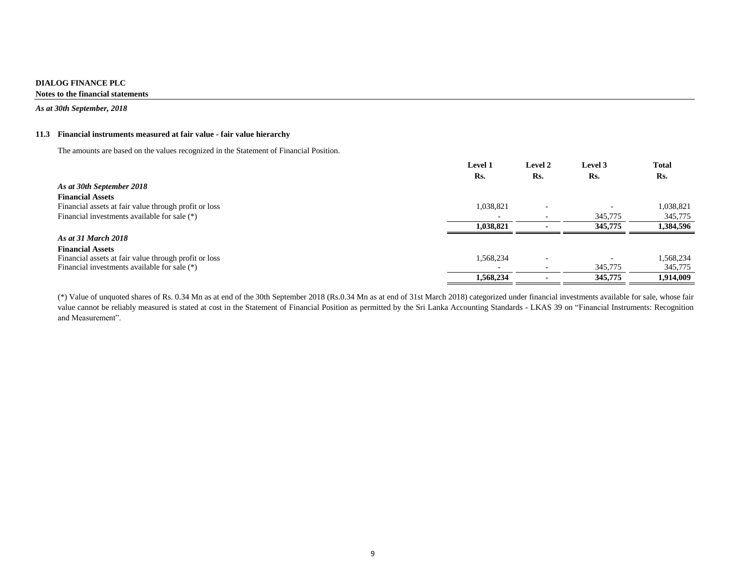*As at 30th September, 2018*

# **11.3 Financial instruments measured at fair value - fair value hierarchy**

The amounts are based on the values recognized in the Statement of Financial Position.

|                                                       | <b>Level 1</b> | Level 2                  | Level 3 | <b>Total</b> |
|-------------------------------------------------------|----------------|--------------------------|---------|--------------|
|                                                       | Rs.            | Rs.                      | Rs.     | Rs.          |
| As at 30th September 2018                             |                |                          |         |              |
| <b>Financial Assets</b>                               |                |                          |         |              |
| Financial assets at fair value through profit or loss | 1,038,821      | $\overline{\phantom{a}}$ |         | 1,038,821    |
| Financial investments available for sale $(*)$        |                |                          | 345,775 | 345,775      |
|                                                       | 1,038,821      |                          | 345,775 | 1,384,596    |
| As at 31 March 2018                                   |                |                          |         |              |
| <b>Financial Assets</b>                               |                |                          |         |              |
| Financial assets at fair value through profit or loss | 1,568,234      | $\overline{\phantom{0}}$ |         | 1,568,234    |
| Financial investments available for sale $(*)$        |                | $\overline{\phantom{a}}$ | 345,775 | 345,775      |
|                                                       | 1,568,234      |                          | 345,775 | 1,914,009    |

(\*) Value of unquoted shares of Rs. 0.34 Mn as at end of the 30th September 2018 (Rs.0.34 Mn as at end of 31st March 2018) categorized under financial investments available for sale, whose fair value cannot be reliably measured is stated at cost in the Statement of Financial Position as permitted by the Sri Lanka Accounting Standards - LKAS 39 on "Financial Instruments: Recognition and Measurement".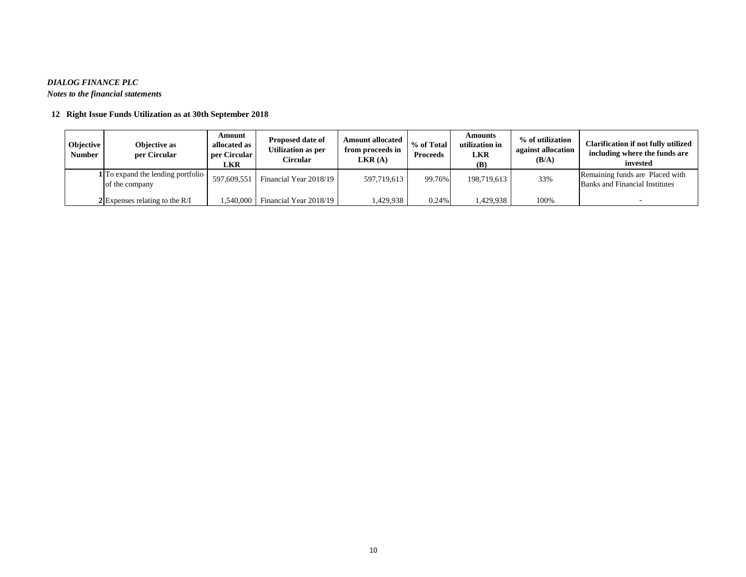# *DIALOG FINANCE PLC*

*Notes to the financial statements*

# **12 Right Issue Funds Utilization as at 30th September 2018**

| Objective<br>Number | Objective as<br>per Circular                        | Amount<br>allocated as<br>per Circular<br>LKR | <b>Proposed date of</b><br>Utilization as per<br><b>Circular</b> | <b>Amount allocated</b><br>from proceeds in<br>LKR(A) | % of Total<br><b>Proceeds</b> | Amounts<br>utilization in<br>LKR<br>(B) | % of utilization<br>against allocation<br>(B/A) | <b>Clarification if not fully utilized</b><br>including where the funds are<br>invested |
|---------------------|-----------------------------------------------------|-----------------------------------------------|------------------------------------------------------------------|-------------------------------------------------------|-------------------------------|-----------------------------------------|-------------------------------------------------|-----------------------------------------------------------------------------------------|
|                     | 1 To expand the lending portfolio<br>of the company | 597,609,551                                   | Financial Year 2018/19                                           | 597,719,613                                           | 99.76%                        | 198,719,613                             | 33%                                             | Remaining funds are Placed with<br><b>Banks and Financial Institutes</b>                |
|                     | $2$ Expenses relating to the R/I                    | 1,540,000                                     | Financial Year 2018/19                                           | ,429,938                                              | 0.24%                         | 429,938                                 | 100%                                            |                                                                                         |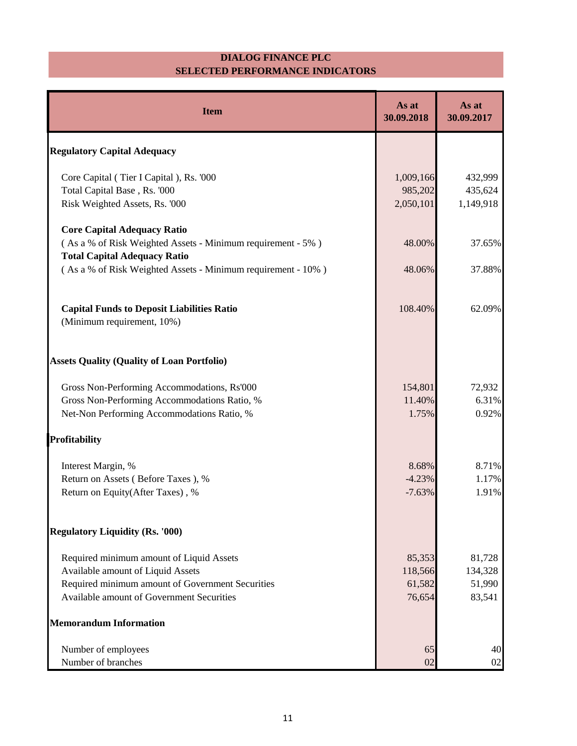## **DIALOG FINANCE PLC SELECTED PERFORMANCE INDICATORS**

| <b>Item</b>                                                                                         | As at<br>30.09.2018  | As at<br>30.09.2017  |
|-----------------------------------------------------------------------------------------------------|----------------------|----------------------|
| <b>Regulatory Capital Adequacy</b>                                                                  |                      |                      |
| Core Capital (Tier I Capital), Rs. '000                                                             | 1,009,166            | 432,999              |
| Total Capital Base, Rs. '000<br>Risk Weighted Assets, Rs. '000                                      | 985,202<br>2,050,101 | 435,624<br>1,149,918 |
| <b>Core Capital Adequacy Ratio</b>                                                                  |                      |                      |
| (As a % of Risk Weighted Assets - Minimum requirement - 5%)                                         | 48.00%               | 37.65%               |
| <b>Total Capital Adequacy Ratio</b><br>(As a % of Risk Weighted Assets - Minimum requirement - 10%) | 48.06%               | 37.88%               |
| <b>Capital Funds to Deposit Liabilities Ratio</b><br>(Minimum requirement, 10%)                     | 108.40%              | 62.09%               |
| <b>Assets Quality (Quality of Loan Portfolio)</b>                                                   |                      |                      |
| Gross Non-Performing Accommodations, Rs'000                                                         | 154,801              | 72,932               |
| Gross Non-Performing Accommodations Ratio, %<br>Net-Non Performing Accommodations Ratio, %          | 11.40%<br>1.75%      | 6.31%<br>0.92%       |
| <b>Profitability</b>                                                                                |                      |                      |
| Interest Margin, %                                                                                  | 8.68%                | 8.71%                |
| Return on Assets (Before Taxes), %<br>Return on Equity(After Taxes), %                              | $-4.23%$<br>$-7.63%$ | 1.17%<br>1.91%       |
| <b>Regulatory Liquidity (Rs. '000)</b>                                                              |                      |                      |
| Required minimum amount of Liquid Assets                                                            | 85,353               | 81,728               |
| Available amount of Liquid Assets                                                                   | 118,566              | 134,328              |
| Required minimum amount of Government Securities<br>Available amount of Government Securities       | 61,582<br>76,654     | 51,990<br>83,541     |
| <b>Memorandum Information</b>                                                                       |                      |                      |
| Number of employees                                                                                 | 65                   | 40                   |
| Number of branches                                                                                  | 02                   | 02                   |